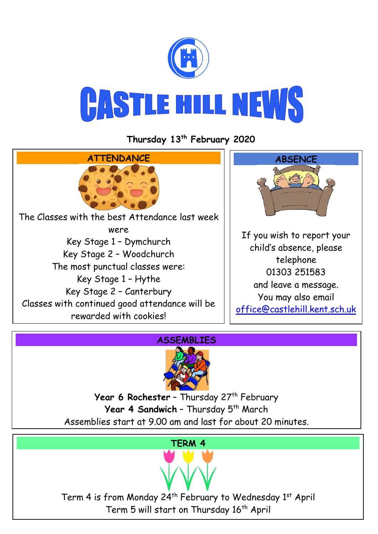

**Thursday 13th February 2020**







Year 6 Rochester - Thursday 27<sup>th</sup> February Year 4 Sandwich - Thursday 5<sup>th</sup> March Assemblies start at 9.00 am and last for about 20 minutes.

## **TERM 4**

Term 4 is from Monday 24<sup>th</sup> February to Wednesday 1<sup>st</sup> April Term 5 will start on Thursday 16<sup>th</sup> April